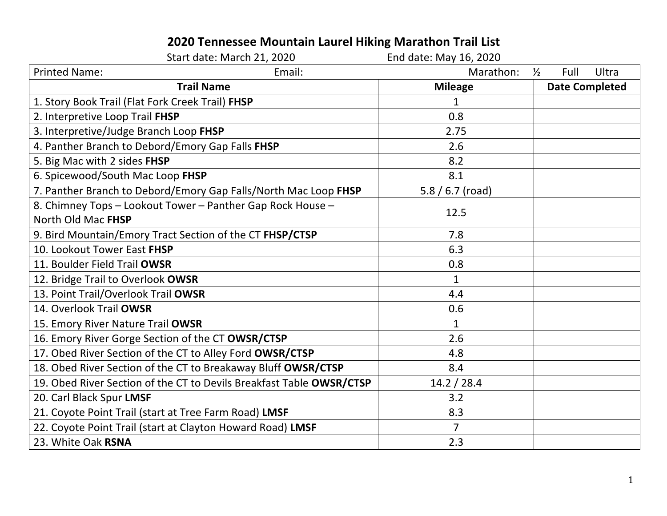## **2020 Tennessee Mountain Laurel Hiking Marathon Trail List**

| Start date: March 21, 2020                                           |        | End date: May 16, 2020 |                       |                       |
|----------------------------------------------------------------------|--------|------------------------|-----------------------|-----------------------|
| <b>Printed Name:</b>                                                 | Email: | Marathon:              | $\frac{1}{2}$<br>Full | <b>Ultra</b>          |
| <b>Trail Name</b>                                                    |        | <b>Mileage</b>         |                       | <b>Date Completed</b> |
| 1. Story Book Trail (Flat Fork Creek Trail) FHSP                     |        | $\mathbf{1}$           |                       |                       |
| 2. Interpretive Loop Trail FHSP                                      |        | 0.8                    |                       |                       |
| 3. Interpretive/Judge Branch Loop FHSP                               |        | 2.75                   |                       |                       |
| 4. Panther Branch to Debord/Emory Gap Falls FHSP                     |        | 2.6                    |                       |                       |
| 5. Big Mac with 2 sides FHSP                                         |        | 8.2                    |                       |                       |
| 6. Spicewood/South Mac Loop FHSP                                     |        | 8.1                    |                       |                       |
| 7. Panther Branch to Debord/Emory Gap Falls/North Mac Loop FHSP      |        | $5.8 / 6.7$ (road)     |                       |                       |
| 8. Chimney Tops - Lookout Tower - Panther Gap Rock House -           |        | 12.5                   |                       |                       |
| North Old Mac FHSP                                                   |        |                        |                       |                       |
| 9. Bird Mountain/Emory Tract Section of the CT FHSP/CTSP             |        | 7.8                    |                       |                       |
| 10. Lookout Tower East FHSP                                          |        | 6.3                    |                       |                       |
| 11. Boulder Field Trail OWSR                                         |        | 0.8                    |                       |                       |
| 12. Bridge Trail to Overlook OWSR                                    |        | $\mathbf{1}$           |                       |                       |
| 13. Point Trail/Overlook Trail OWSR                                  |        | 4.4                    |                       |                       |
| 14. Overlook Trail OWSR                                              |        | 0.6                    |                       |                       |
| 15. Emory River Nature Trail OWSR                                    |        | $\mathbf{1}$           |                       |                       |
| 16. Emory River Gorge Section of the CT OWSR/CTSP                    |        | 2.6                    |                       |                       |
| 17. Obed River Section of the CT to Alley Ford OWSR/CTSP             |        | 4.8                    |                       |                       |
| 18. Obed River Section of the CT to Breakaway Bluff OWSR/CTSP        |        | 8.4                    |                       |                       |
| 19. Obed River Section of the CT to Devils Breakfast Table OWSR/CTSP |        | 14.2 / 28.4            |                       |                       |
| 20. Carl Black Spur LMSF                                             |        | 3.2                    |                       |                       |
| 21. Coyote Point Trail (start at Tree Farm Road) LMSF                |        | 8.3                    |                       |                       |
| 22. Coyote Point Trail (start at Clayton Howard Road) LMSF           |        | $\overline{7}$         |                       |                       |
| 23. White Oak RSNA                                                   |        | 2.3                    |                       |                       |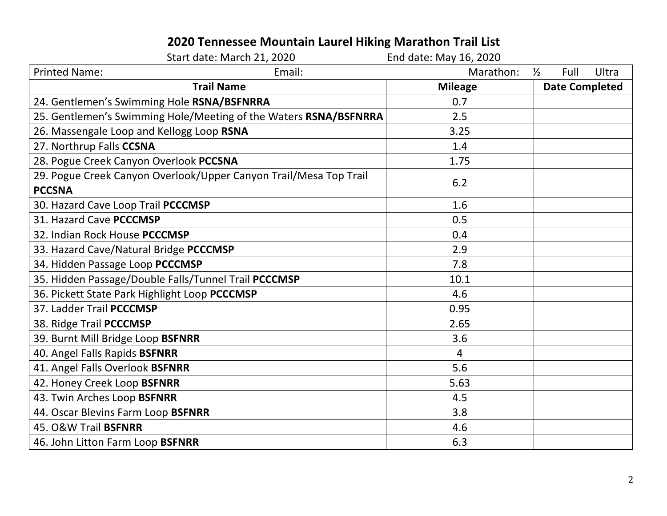## **2020 Tennessee Mountain Laurel Hiking Marathon Trail List**

|                                                                                    | Start date: March 21, 2020 | End date: May 16, 2020 |                                |  |
|------------------------------------------------------------------------------------|----------------------------|------------------------|--------------------------------|--|
| <b>Printed Name:</b>                                                               | Email:                     | Marathon:              | Full<br>Ultra<br>$\frac{1}{2}$ |  |
| <b>Trail Name</b>                                                                  |                            | <b>Mileage</b>         | <b>Date Completed</b>          |  |
| 24. Gentlemen's Swimming Hole RSNA/BSFNRRA                                         |                            | 0.7                    |                                |  |
| 25. Gentlemen's Swimming Hole/Meeting of the Waters RSNA/BSFNRRA                   |                            | 2.5                    |                                |  |
| 26. Massengale Loop and Kellogg Loop RSNA                                          |                            | 3.25                   |                                |  |
| 27. Northrup Falls CCSNA                                                           |                            | 1.4                    |                                |  |
| 28. Pogue Creek Canyon Overlook PCCSNA                                             |                            | 1.75                   |                                |  |
| 29. Pogue Creek Canyon Overlook/Upper Canyon Trail/Mesa Top Trail<br><b>PCCSNA</b> |                            | 6.2                    |                                |  |
| 30. Hazard Cave Loop Trail PCCCMSP                                                 |                            | 1.6                    |                                |  |
| 31. Hazard Cave PCCCMSP                                                            |                            | 0.5                    |                                |  |
| 32. Indian Rock House PCCCMSP                                                      |                            | 0.4                    |                                |  |
| 33. Hazard Cave/Natural Bridge PCCCMSP                                             |                            | 2.9                    |                                |  |
| 34. Hidden Passage Loop PCCCMSP                                                    |                            | 7.8                    |                                |  |
| 35. Hidden Passage/Double Falls/Tunnel Trail PCCCMSP                               |                            | 10.1                   |                                |  |
| 36. Pickett State Park Highlight Loop PCCCMSP                                      |                            | 4.6                    |                                |  |
| 37. Ladder Trail PCCCMSP                                                           |                            | 0.95                   |                                |  |
| 38. Ridge Trail PCCCMSP                                                            |                            | 2.65                   |                                |  |
| 39. Burnt Mill Bridge Loop BSFNRR                                                  |                            | 3.6                    |                                |  |
| 40. Angel Falls Rapids BSFNRR                                                      |                            | $\overline{4}$         |                                |  |
| 41. Angel Falls Overlook BSFNRR                                                    |                            | 5.6                    |                                |  |
| 42. Honey Creek Loop BSFNRR                                                        |                            | 5.63                   |                                |  |
| 43. Twin Arches Loop BSFNRR                                                        |                            | 4.5                    |                                |  |
| 44. Oscar Blevins Farm Loop BSFNRR                                                 |                            | 3.8                    |                                |  |
| 45. O&W Trail BSFNRR                                                               |                            | 4.6                    |                                |  |
| 46. John Litton Farm Loop BSFNRR                                                   |                            | 6.3                    |                                |  |